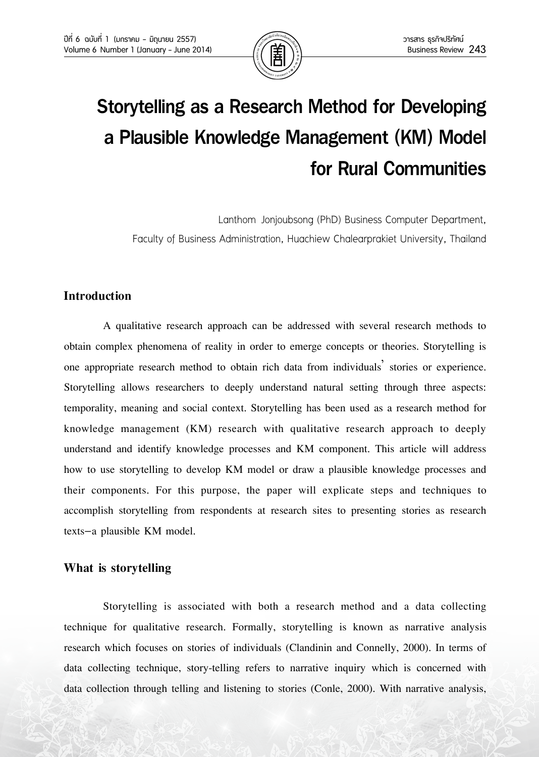

# Storytelling as a Research Method for Developing a Plausible Knowledge Management (KM) Model for Rural Communities

Lanthom Jonjoubsong (PhD) Business Computer Department, Faculty of Business Administration, Huachiew Chalearprakiet University, Thailand

# **Introduction**

A qualitative research approach can be addressed with several research methods to obtain complex phenomena of reality in order to emerge concepts or theories. Storytelling is one appropriate research method to obtain rich data from individuals' stories or experience. Storytelling allows researchers to deeply understand natural setting through three aspects: temporality, meaning and social context. Storytelling has been used as a research method for knowledge management (KM) research with qualitative research approach to deeply understand and identify knowledge processes and KM component. This article will address how to use storytelling to develop KM model or draw a plausible knowledge processes and their components. For this purpose, the paper will explicate steps and techniques to accomplish storytelling from respondents at research sites to presenting stories as research texts–a plausible KM model.

# **What is storytelling**

Storytelling is associated with both a research method and a data collecting technique for qualitative research. Formally, storytelling is known as narrative analysis research which focuses on stories of individuals (Clandinin and Connelly, 2000). In terms of data collecting technique, story-telling refers to narrative inquiry which is concerned with data collection through telling and listening to stories (Conle, 2000). With narrative analysis,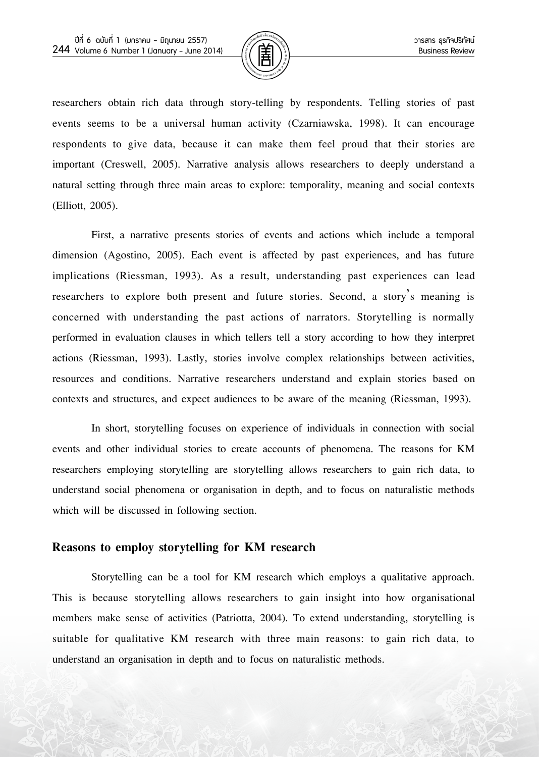

researchers obtain rich data through story-telling by respondents. Telling stories of past events seems to be a universal human activity (Czarniawska, 1998). It can encourage respondents to give data, because it can make them feel proud that their stories are important (Creswell, 2005). Narrative analysis allows researchers to deeply understand a natural setting through three main areas to explore: temporality, meaning and social contexts (Elliott, 2005).

First, a narrative presents stories of events and actions which include a temporal dimension (Agostino, 2005). Each event is affected by past experiences, and has future implications (Riessman, 1993). As a result, understanding past experiences can lead researchers to explore both present and future stories. Second, a story's meaning is concerned with understanding the past actions of narrators. Storytelling is normally performed in evaluation clauses in which tellers tell a story according to how they interpret actions (Riessman, 1993). Lastly, stories involve complex relationships between activities, resources and conditions. Narrative researchers understand and explain stories based on contexts and structures, and expect audiences to be aware of the meaning (Riessman, 1993).

In short, storytelling focuses on experience of individuals in connection with social events and other individual stories to create accounts of phenomena. The reasons for KM researchers employing storytelling are storytelling allows researchers to gain rich data, to understand social phenomena or organisation in depth, and to focus on naturalistic methods which will be discussed in following section.

#### **Reasons to employ storytelling for KM research**

Storytelling can be a tool for KM research which employs a qualitative approach. This is because storytelling allows researchers to gain insight into how organisational members make sense of activities (Patriotta, 2004). To extend understanding, storytelling is suitable for qualitative KM research with three main reasons: to gain rich data, to understand an organisation in depth and to focus on naturalistic methods.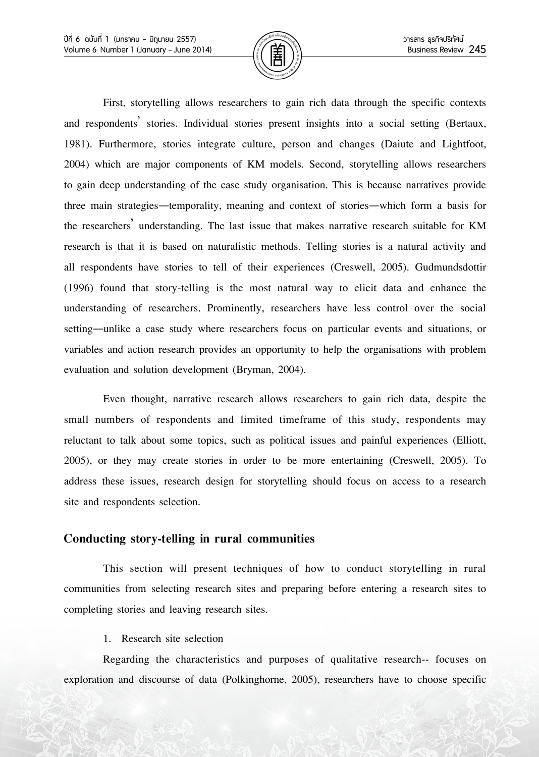

First, storytelling allows researchers to gain rich data through the specific contexts and respondents' stories. Individual stories present insights into a social setting (Bertaux, 1981). Furthermore, stories integrate culture, person and changes (Daiute and Lightfoot, 2004) which are major components of KM models. Second, storytelling allows researchers to gain deep understanding of the case study organisation. This is because narratives provide three main strategies—temporality, meaning and context of stories—which form a basis for the researchers' understanding. The last issue that makes narrative research suitable for KM research is that it is based on naturalistic methods. Telling stories is a natural activity and all respondents have stories to tell of their experiences (Creswell, 2005). Gudmundsdottir (1996) found that story-telling is the most natural way to elicit data and enhance the understanding of researchers. Prominently, researchers have less control over the social setting—unlike a case study where researchers focus on particular events and situations, or variables and action research provides an opportunity to help the organisations with problem evaluation and solution development (Bryman, 2004).

Even thought, narrative research allows researchers to gain rich data, despite the small numbers of respondents and limited timeframe of this study, respondents may reluctant to talk about some topics, such as political issues and painful experiences (Elliott, 2005), or they may create stories in order to be more entertaining (Creswell, 2005). To address these issues, research design for storytelling should focus on access to a research site and respondents selection.

## **Conducting story-telling in rural communities**

This section will present techniques of how to conduct storytelling in rural communities from selecting research sites and preparing before entering a research sites to completing stories and leaving research sites.

1. Research site selection

Regarding the characteristics and purposes of qualitative research-- focuses on exploration and discourse of data (Polkinghorne, 2005), researchers have to choose specific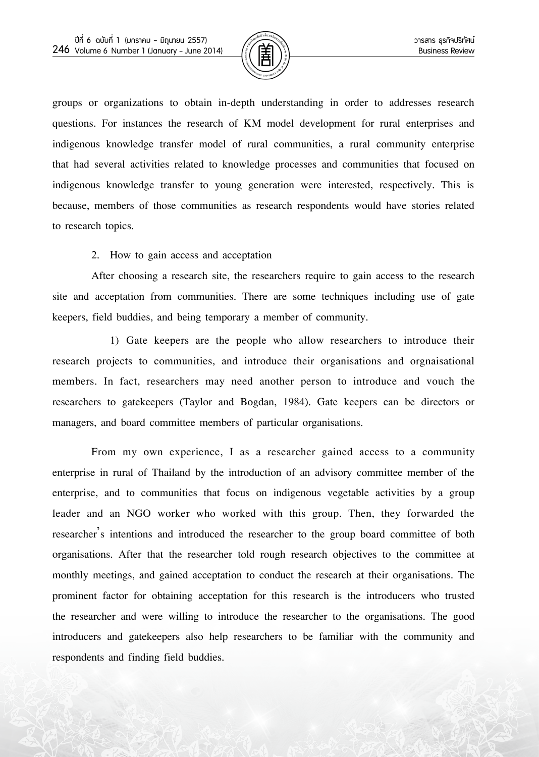

groups or organizations to obtain in-depth understanding in order to addresses research questions. For instances the research of KM model development for rural enterprises and indigenous knowledge transfer model of rural communities, a rural community enterprise that had several activities related to knowledge processes and communities that focused on indigenous knowledge transfer to young generation were interested, respectively. This is because, members of those communities as research respondents would have stories related to research topics.

#### 2. How to gain access and acceptation

After choosing a research site, the researchers require to gain access to the research site and acceptation from communities. There are some techniques including use of gate keepers, field buddies, and being temporary a member of community.

1) Gate keepers are the people who allow researchers to introduce their research projects to communities, and introduce their organisations and orgnaisational members. In fact, researchers may need another person to introduce and vouch the researchers to gatekeepers (Taylor and Bogdan, 1984). Gate keepers can be directors or managers, and board committee members of particular organisations.

From my own experience, I as a researcher gained access to a community enterprise in rural of Thailand by the introduction of an advisory committee member of the enterprise, and to communities that focus on indigenous vegetable activities by a group leader and an NGO worker who worked with this group. Then, they forwarded the researcher's intentions and introduced the researcher to the group board committee of both organisations. After that the researcher told rough research objectives to the committee at monthly meetings, and gained acceptation to conduct the research at their organisations. The prominent factor for obtaining acceptation for this research is the introducers who trusted the researcher and were willing to introduce the researcher to the organisations. The good introducers and gatekeepers also help researchers to be familiar with the community and respondents and finding field buddies.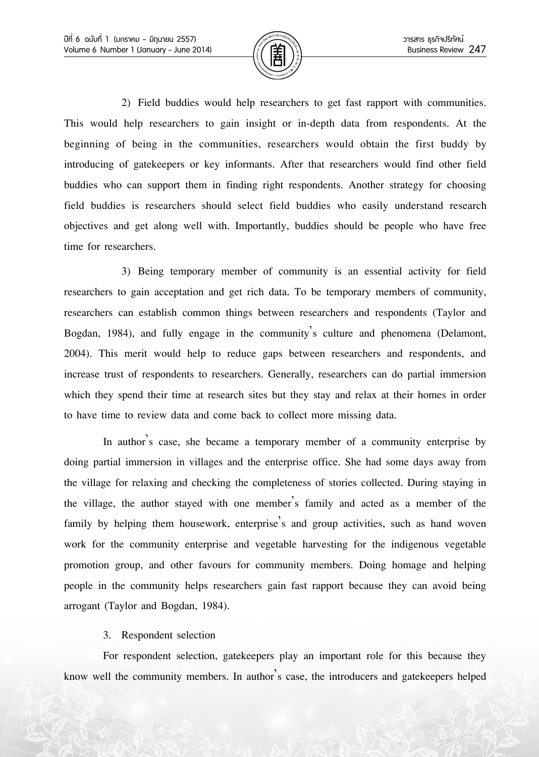

2) Field buddies would help researchers to get fast rapport with communities. This would help researchers to gain insight or in-depth data from respondents. At the beginning of being in the communities, researchers would obtain the first buddy by introducing of gatekeepers or key informants. After that researchers would find other field buddies who can support them in finding right respondents. Another strategy for choosing field buddies is researchers should select field buddies who easily understand research objectives and get along well with. Importantly, buddies should be people who have free time for researchers.

3) Being temporary member of community is an essential activity for field researchers to gain acceptation and get rich data. To be temporary members of community, researchers can establish common things between researchers and respondents (Taylor and Bogdan, 1984), and fully engage in the community's culture and phenomena (Delamont, 2004). This merit would help to reduce gaps between researchers and respondents, and increase trust of respondents to researchers. Generally, researchers can do partial immersion which they spend their time at research sites but they stay and relax at their homes in order to have time to review data and come back to collect more missing data.

In author's case, she became a temporary member of a community enterprise by doing partial immersion in villages and the enterprise office. She had some days away from the village for relaxing and checking the completeness of stories collected. During staying in the village, the author stayed with one member's family and acted as a member of the family by helping them housework, enterprise's and group activities, such as hand woven work for the community enterprise and vegetable harvesting for the indigenous vegetable promotion group, and other favours for community members. Doing homage and helping people in the community helps researchers gain fast rapport because they can avoid being arrogant (Taylor and Bogdan, 1984).

## 3. Respondent selection

For respondent selection, gatekeepers play an important role for this because they know well the community members. In author's case, the introducers and gatekeepers helped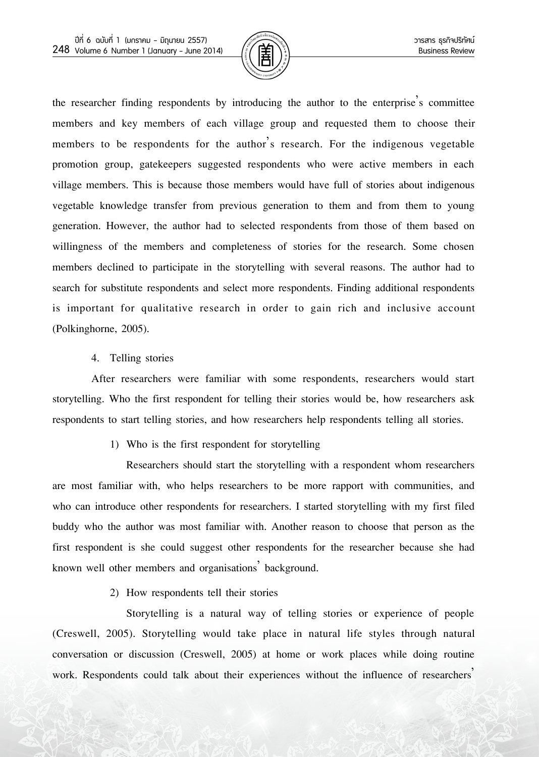

the researcher finding respondents by introducing the author to the enterprise's committee members and key members of each village group and requested them to choose their members to be respondents for the author's research. For the indigenous vegetable promotion group, gatekeepers suggested respondents who were active members in each village members. This is because those members would have full of stories about indigenous vegetable knowledge transfer from previous generation to them and from them to young generation. However, the author had to selected respondents from those of them based on willingness of the members and completeness of stories for the research. Some chosen members declined to participate in the storytelling with several reasons. The author had to search for substitute respondents and select more respondents. Finding additional respondents is important for qualitative research in order to gain rich and inclusive account (Polkinghorne, 2005).

4. Telling stories

After researchers were familiar with some respondents, researchers would start storytelling. Who the first respondent for telling their stories would be, how researchers ask respondents to start telling stories, and how researchers help respondents telling all stories.

1) Who is the first respondent for storytelling

Researchers should start the storytelling with a respondent whom researchers are most familiar with, who helps researchers to be more rapport with communities, and who can introduce other respondents for researchers. I started storytelling with my first filed buddy who the author was most familiar with. Another reason to choose that person as the first respondent is she could suggest other respondents for the researcher because she had known well other members and organisations' background.

2) How respondents tell their stories

Storytelling is a natural way of telling stories or experience of people (Creswell, 2005). Storytelling would take place in natural life styles through natural conversation or discussion (Creswell, 2005) at home or work places while doing routine work. Respondents could talk about their experiences without the influence of researchers'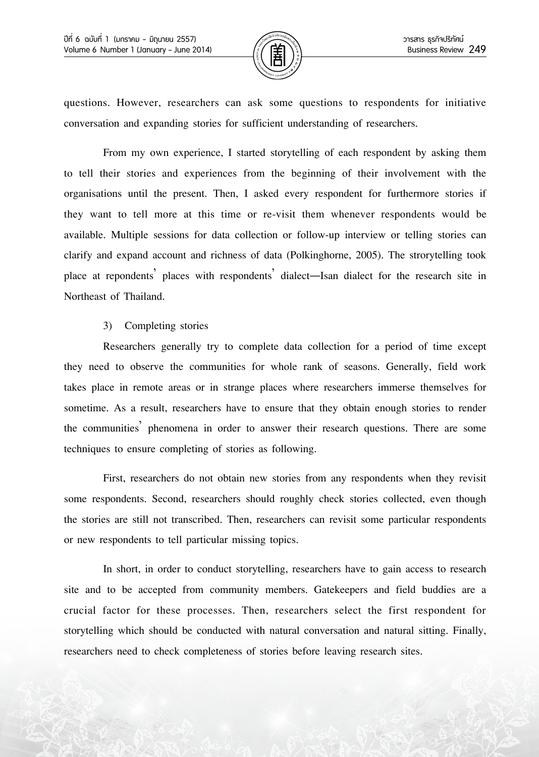

questions. However, researchers can ask some questions to respondents for initiative conversation and expanding stories for sufficient understanding of researchers.

From my own experience, I started storytelling of each respondent by asking them to tell their stories and experiences from the beginning of their involvement with the organisations until the present. Then, I asked every respondent for furthermore stories if they want to tell more at this time or re-visit them whenever respondents would be available. Multiple sessions for data collection or follow-up interview or telling stories can clarify and expand account and richness of data (Polkinghorne, 2005). The strorytelling took place at repondents' places with respondents' dialect—Isan dialect for the research site in Northeast of Thailand.

#### 3) Completing stories

Researchers generally try to complete data collection for a period of time except they need to observe the communities for whole rank of seasons. Generally, field work takes place in remote areas or in strange places where researchers immerse themselves for sometime. As a result, researchers have to ensure that they obtain enough stories to render the communities' phenomena in order to answer their research questions. There are some techniques to ensure completing of stories as following.

First, researchers do not obtain new stories from any respondents when they revisit some respondents. Second, researchers should roughly check stories collected, even though the stories are still not transcribed. Then, researchers can revisit some particular respondents or new respondents to tell particular missing topics.

In short, in order to conduct storytelling, researchers have to gain access to research site and to be accepted from community members. Gatekeepers and field buddies are a crucial factor for these processes. Then, researchers select the first respondent for storytelling which should be conducted with natural conversation and natural sitting. Finally, researchers need to check completeness of stories before leaving research sites.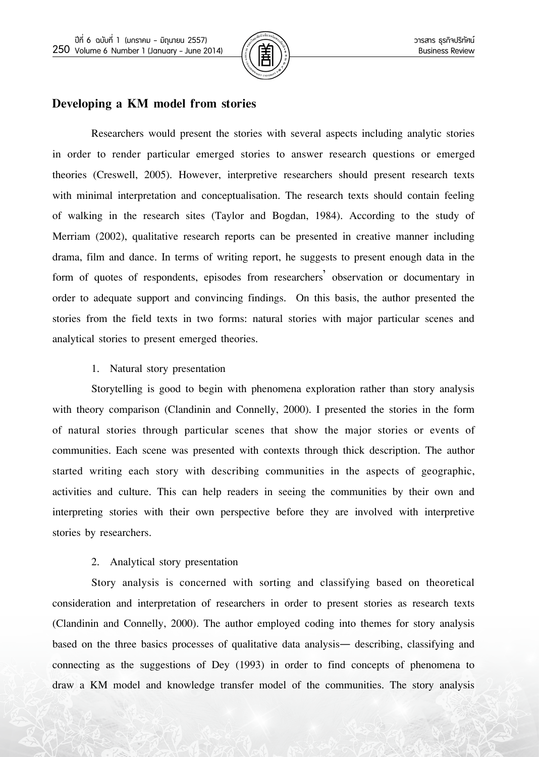

# **Developing a KM model from stories**

Researchers would present the stories with several aspects including analytic stories in order to render particular emerged stories to answer research questions or emerged theories (Creswell, 2005). However, interpretive researchers should present research texts with minimal interpretation and conceptualisation. The research texts should contain feeling of walking in the research sites (Taylor and Bogdan, 1984). According to the study of Merriam (2002), qualitative research reports can be presented in creative manner including drama, film and dance. In terms of writing report, he suggests to present enough data in the form of quotes of respondents, episodes from researchers' observation or documentary in order to adequate support and convincing findings. On this basis, the author presented the stories from the field texts in two forms: natural stories with major particular scenes and analytical stories to present emerged theories.

#### 1. Natural story presentation

Storytelling is good to begin with phenomena exploration rather than story analysis with theory comparison (Clandinin and Connelly, 2000). I presented the stories in the form of natural stories through particular scenes that show the major stories or events of communities. Each scene was presented with contexts through thick description. The author started writing each story with describing communities in the aspects of geographic, activities and culture. This can help readers in seeing the communities by their own and interpreting stories with their own perspective before they are involved with interpretive stories by researchers.

## 2. Analytical story presentation

Story analysis is concerned with sorting and classifying based on theoretical consideration and interpretation of researchers in order to present stories as research texts (Clandinin and Connelly, 2000). The author employed coding into themes for story analysis based on the three basics processes of qualitative data analysis— describing, classifying and connecting as the suggestions of Dey (1993) in order to find concepts of phenomena to draw a KM model and knowledge transfer model of the communities. The story analysis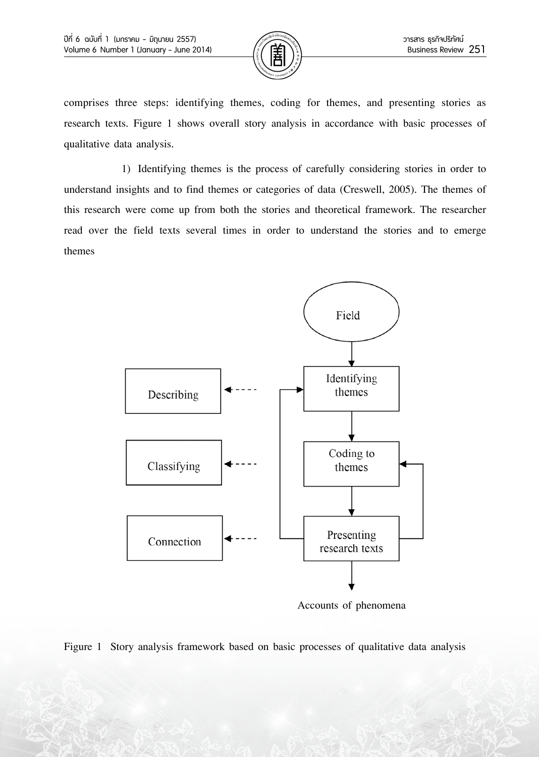

comprises three steps: identifying themes, coding for themes, and presenting stories as research texts. Figure 1 shows overall story analysis in accordance with basic processes of qualitative data analysis.

1) Identifying themes is the process of carefully considering stories in order to understand insights and to find themes or categories of data (Creswell, 2005). The themes of this research were come up from both the stories and theoretical framework. The researcher read over the field texts several times in order to understand the stories and to emerge themes



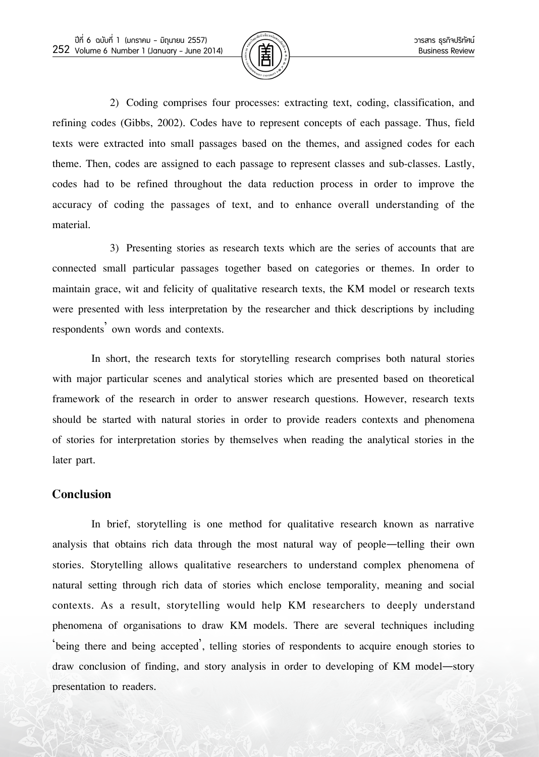

2) Coding comprises four processes: extracting text, coding, classification, and refining codes (Gibbs, 2002). Codes have to represent concepts of each passage. Thus, field texts were extracted into small passages based on the themes, and assigned codes for each theme. Then, codes are assigned to each passage to represent classes and sub-classes. Lastly, codes had to be refined throughout the data reduction process in order to improve the accuracy of coding the passages of text, and to enhance overall understanding of the material.

3) Presenting stories as research texts which are the series of accounts that are connected small particular passages together based on categories or themes. In order to maintain grace, wit and felicity of qualitative research texts, the KM model or research texts were presented with less interpretation by the researcher and thick descriptions by including respondents' own words and contexts.

In short, the research texts for storytelling research comprises both natural stories with major particular scenes and analytical stories which are presented based on theoretical framework of the research in order to answer research questions. However, research texts should be started with natural stories in order to provide readers contexts and phenomena of stories for interpretation stories by themselves when reading the analytical stories in the later part.

## **Conclusion**

In brief, storytelling is one method for qualitative research known as narrative analysis that obtains rich data through the most natural way of people—telling their own stories. Storytelling allows qualitative researchers to understand complex phenomena of natural setting through rich data of stories which enclose temporality, meaning and social contexts. As a result, storytelling would help KM researchers to deeply understand phenomena of organisations to draw KM models. There are several techniques including 'being there and being accepted', telling stories of respondents to acquire enough stories to draw conclusion of finding, and story analysis in order to developing of KM model—story presentation to readers.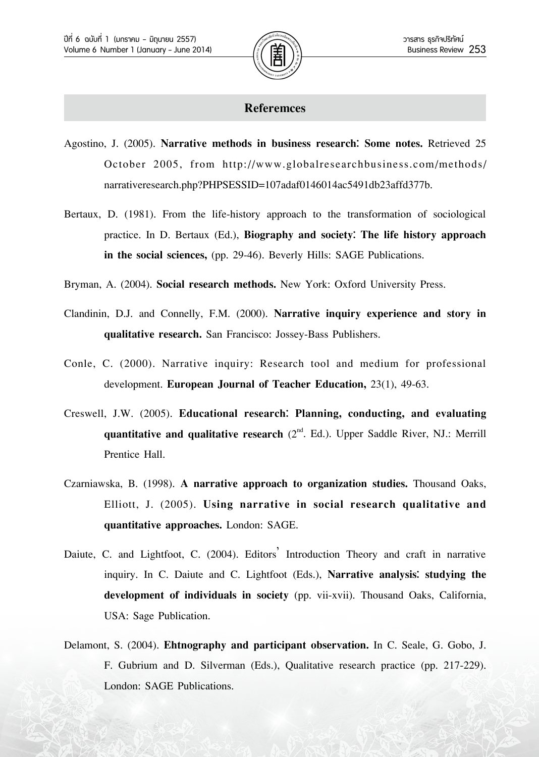

#### **Referemces**

- Agostino, J. (2005). **Narrative methods in business research: Some notes.** Retrieved 25 October 2005, from http://www.globalresearchbusiness.com/methods/ narrativeresearch.php?PHPSESSID=107adaf0146014ac5491db23affd377b.
- Bertaux, D. (1981). From the life-history approach to the transformation of sociological practice. In D. Bertaux (Ed.), **Biography and society: The life history approach in the social sciences,** (pp. 29-46). Beverly Hills: SAGE Publications.
- Bryman, A. (2004). **Social research methods.** New York: Oxford University Press.
- Clandinin, D.J. and Connelly, F.M. (2000). **Narrative inquiry experience and story in qualitative research.** San Francisco: Jossey-Bass Publishers.
- Conle, C. (2000). Narrative inquiry: Research tool and medium for professional development. **European Journal of Teacher Education,** 23(1), 49-63.
- Creswell, J.W. (2005). **Educational research: Planning, conducting, and evaluating quantitative and qualitative research** (2<sup>nd</sup>. Ed.). Upper Saddle River, NJ.: Merrill Prentice Hall.
- Czarniawska, B. (1998). **A narrative approach to organization studies.** Thousand Oaks, Elliott, J. (2005). **Using narrative in social research qualitative and quantitative approaches.** London: SAGE.
- Daiute, C. and Lightfoot, C. (2004). Editors' Introduction Theory and craft in narrative inquiry. In C. Daiute and C. Lightfoot (Eds.), **Narrative analysis: studying the development of individuals in society** (pp. vii-xvii). Thousand Oaks, California, USA: Sage Publication.
- Delamont, S. (2004). **Ehtnography and participant observation.** In C. Seale, G. Gobo, J. F. Gubrium and D. Silverman (Eds.), Qualitative research practice (pp. 217-229). London: SAGE Publications.